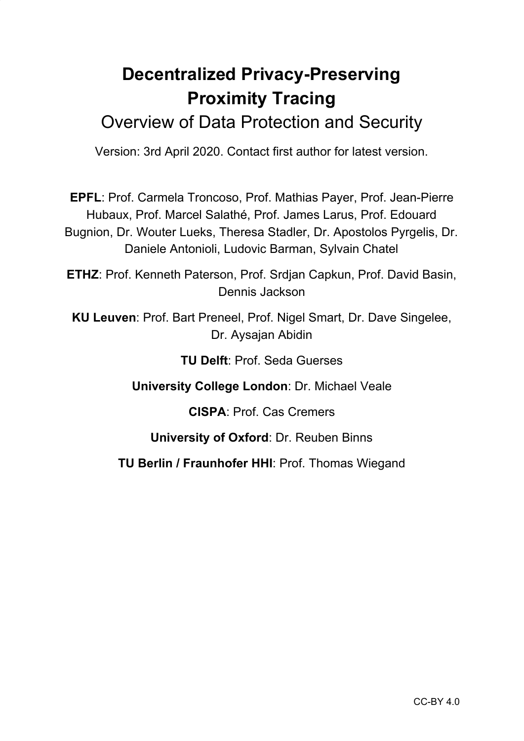# **Decentralized Privacy-Preserving Proximity Tracing**

# Overview of Data Protection and Security

Version: 3rd April 2020. Contact first author for latest version.

**EPFL**: Prof. Carmela Troncoso, Prof. Mathias Payer, Prof. Jean-Pierre Hubaux, Prof. Marcel Salathé, Prof. James Larus, Prof. Edouard Bugnion, Dr. Wouter Lueks, Theresa Stadler, Dr. Apostolos Pyrgelis, Dr. Daniele Antonioli, Ludovic Barman, Sylvain Chatel

**ETHZ**: Prof. Kenneth Paterson, Prof. Srdjan Capkun, Prof. David Basin, Dennis Jackson

**KU Leuven**: Prof. Bart Preneel, Prof. Nigel Smart, Dr. Dave Singelee, Dr. Aysajan Abidin

**TU Delft**: Prof. Seda Guerses

**University College London**: Dr. Michael Veale

**CISPA**: Prof. Cas Cremers

**University of Oxford**: Dr. Reuben Binns

**TU Berlin / Fraunhofer HHI**: Prof. Thomas Wiegand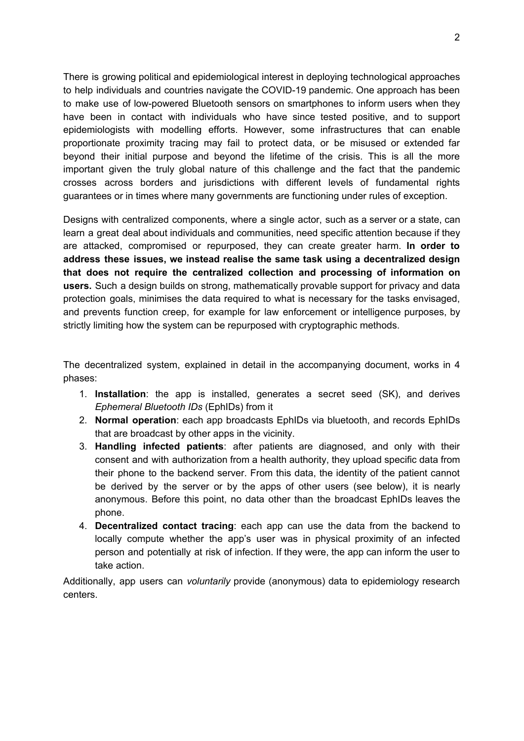There is growing political and epidemiological interest in deploying technological approaches to help individuals and countries navigate the COVID-19 pandemic. One approach has been to make use of low-powered Bluetooth sensors on smartphones to inform users when they have been in contact with individuals who have since tested positive, and to support epidemiologists with modelling efforts. However, some infrastructures that can enable proportionate proximity tracing may fail to protect data, or be misused or extended far beyond their initial purpose and beyond the lifetime of the crisis. This is all the more important given the truly global nature of this challenge and the fact that the pandemic crosses across borders and jurisdictions with different levels of fundamental rights guarantees or in times where many governments are functioning under rules of exception.

Designs with centralized components, where a single actor, such as a server or a state, can learn a great deal about individuals and communities, need specific attention because if they are attacked, compromised or repurposed, they can create greater harm. **In order to address these issues, we instead realise the same task using a decentralized design that does not require the centralized collection and processing of information on users.** Such a design builds on strong, mathematically provable support for privacy and data protection goals, minimises the data required to what is necessary for the tasks envisaged, and prevents function creep, for example for law enforcement or intelligence purposes, by strictly limiting how the system can be repurposed with cryptographic methods.

The decentralized system, explained in detail in the accompanying document, works in 4 phases:

- 1. **Installation**: the app is installed, generates a secret seed (SK), and derives *Ephemeral Bluetooth IDs* (EphIDs) from it
- 2. **Normal operation**: each app broadcasts EphIDs via bluetooth, and records EphIDs that are broadcast by other apps in the vicinity.
- 3. **Handling infected patients**: after patients are diagnosed, and only with their consent and with authorization from a health authority, they upload specific data from their phone to the backend server. From this data, the identity of the patient cannot be derived by the server or by the apps of other users (see below), it is nearly anonymous. Before this point, no data other than the broadcast EphIDs leaves the phone.
- 4. **Decentralized contact tracing**: each app can use the data from the backend to locally compute whether the app's user was in physical proximity of an infected person and potentially at risk of infection. If they were, the app can inform the user to take action.

Additionally, app users can *voluntarily* provide (anonymous) data to epidemiology research centers.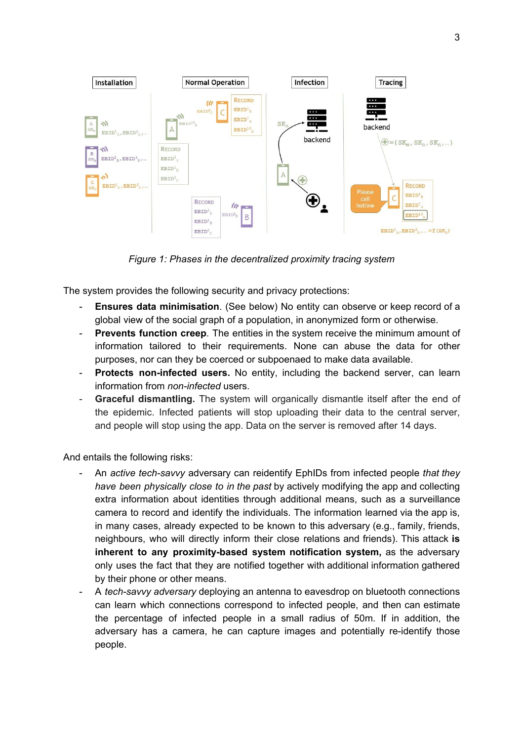

*Figure 1: Phases in the decentralized proximity tracing system*

The system provides the following security and privacy protections:

- **Ensures data minimisation**. (See below) No entity can observe or keep record of a global view of the social graph of a population, in anonymized form or otherwise.
- **Prevents function creep**. The entities in the system receive the minimum amount of information tailored to their requirements. None can abuse the data for other purposes, nor can they be coerced or subpoenaed to make data available.
- **Protects non-infected users.** No entity, including the backend server, can learn information from *non-infected* users.
- **Graceful dismantling.** The system will organically dismantle itself after the end of the epidemic. Infected patients will stop uploading their data to the central server, and people will stop using the app. Data on the server is removed after 14 days.

And entails the following risks:

- An *active tech-savvy* adversary can reidentify EphIDs from infected people *that they have been physically close to in the past* by actively modifying the app and collecting extra information about identities through additional means, such as a surveillance camera to record and identify the individuals. The information learned via the app is, in many cases, already expected to be known to this adversary (e.g., family, friends, neighbours, who will directly inform their close relations and friends). This attack **is inherent to any proximity-based system notification system,** as the adversary only uses the fact that they are notified together with additional information gathered by their phone or other means.
- A *tech-savvy adversary* deploying an antenna to eavesdrop on bluetooth connections can learn which connections correspond to infected people, and then can estimate the percentage of infected people in a small radius of 50m. If in addition, the adversary has a camera, he can capture images and potentially re-identify those people.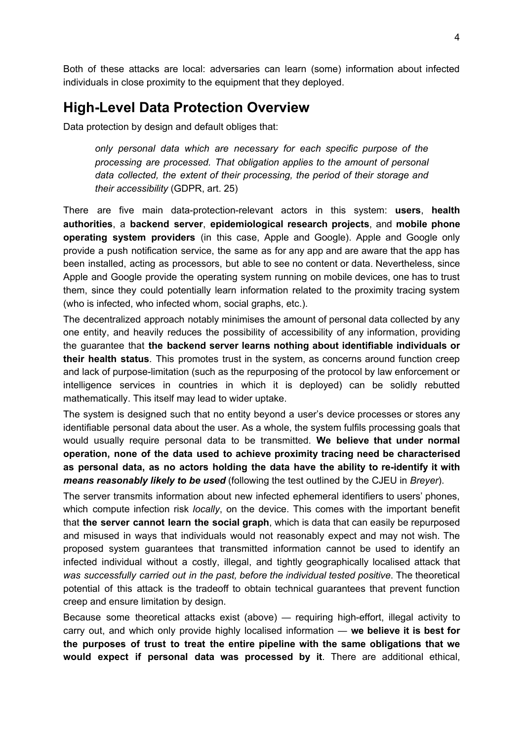Both of these attacks are local: adversaries can learn (some) information about infected individuals in close proximity to the equipment that they deployed.

## **High-Level Data Protection Overview**

Data protection by design and default obliges that:

*only personal data which are necessary for each specific purpose of the processing are processed. That obligation applies to the amount of personal data collected, the extent of their processing, the period of their storage and their accessibility* (GDPR, art. 25)

There are five main data-protection-relevant actors in this system: **users**, **health authorities**, a **backend server**, **epidemiological research projects**, and **mobile phone operating system providers** (in this case, Apple and Google). Apple and Google only provide a push notification service, the same as for any app and are aware that the app has been installed, acting as processors, but able to see no content or data. Nevertheless, since Apple and Google provide the operating system running on mobile devices, one has to trust them, since they could potentially learn information related to the proximity tracing system (who is infected, who infected whom, social graphs, etc.).

The decentralized approach notably minimises the amount of personal data collected by any one entity, and heavily reduces the possibility of accessibility of any information, providing the guarantee that **the backend server learns nothing about identifiable individuals or their health status**. This promotes trust in the system, as concerns around function creep and lack of purpose-limitation (such as the repurposing of the protocol by law enforcement or intelligence services in countries in which it is deployed) can be solidly rebutted mathematically. This itself may lead to wider uptake.

The system is designed such that no entity beyond a user's device processes or stores any identifiable personal data about the user. As a whole, the system fulfils processing goals that would usually require personal data to be transmitted. **We believe that under normal operation, none of the data used to achieve proximity tracing need be characterised as personal data, as no actors holding the data have the ability to re-identify it with** *means reasonably likely to be used* (following the test outlined by the CJEU in *Breyer*).

The server transmits information about new infected ephemeral identifiers to users' phones, which compute infection risk *locally*, on the device. This comes with the important benefit that **the server cannot learn the social graph**, which is data that can easily be repurposed and misused in ways that individuals would not reasonably expect and may not wish. The proposed system guarantees that transmitted information cannot be used to identify an infected individual without a costly, illegal, and tightly geographically localised attack that *was successfully carried out in the past, before the individual tested positive*. The theoretical potential of this attack is the tradeoff to obtain technical guarantees that prevent function creep and ensure limitation by design.

Because some theoretical attacks exist (above) — requiring high-effort, illegal activity to carry out, and which only provide highly localised information — **we believe it is best for the purposes of trust to treat the entire pipeline with the same obligations that we would expect if personal data was processed by it**. There are additional ethical,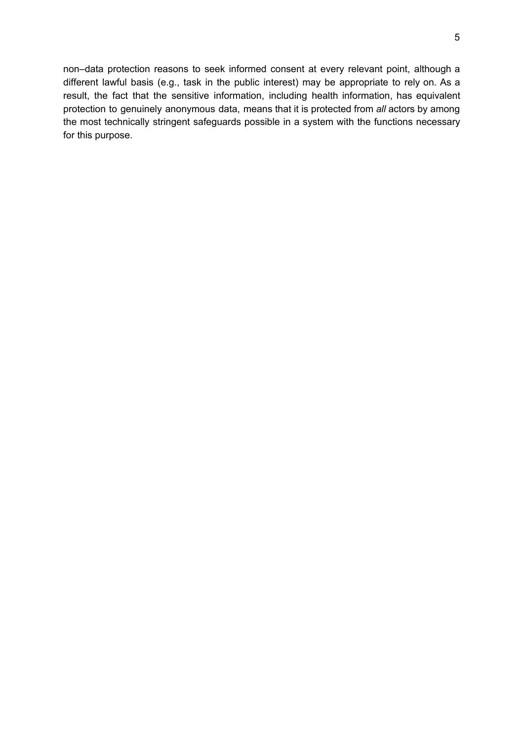non–data protection reasons to seek informed consent at every relevant point, although a different lawful basis (e.g., task in the public interest) may be appropriate to rely on. As a result, the fact that the sensitive information, including health information, has equivalent protection to genuinely anonymous data, means that it is protected from *all* actors by among the most technically stringent safeguards possible in a system with the functions necessary for this purpose.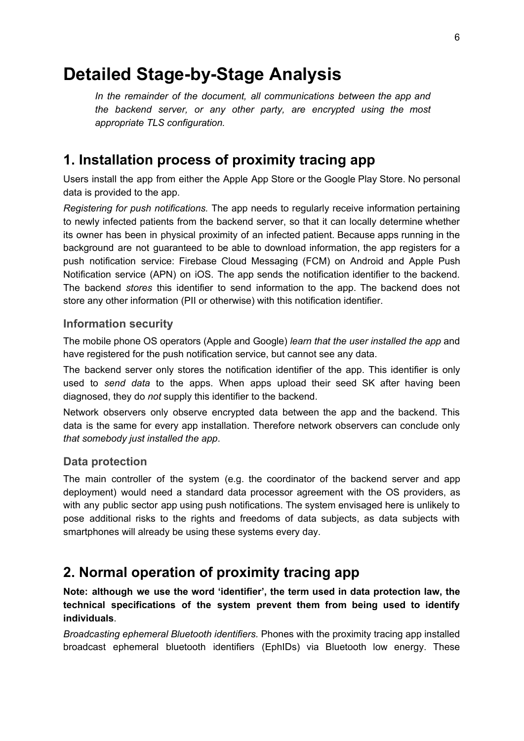# **Detailed Stage-by-Stage Analysis**

*In the remainder of the document, all communications between the app and the backend server, or any other party, are encrypted using the most appropriate TLS configuration.*

# **1. Installation process of proximity tracing app**

Users install the app from either the Apple App Store or the Google Play Store. No personal data is provided to the app.

*Registering for push notifications.* The app needs to regularly receive information pertaining to newly infected patients from the backend server, so that it can locally determine whether its owner has been in physical proximity of an infected patient. Because apps running in the background are not guaranteed to be able to download information, the app registers for a push notification service: Firebase Cloud Messaging (FCM) on Android and Apple Push Notification service (APN) on iOS. The app sends the notification identifier to the backend. The backend *stores* this identifier to send information to the app. The backend does not store any other information (PII or otherwise) with this notification identifier.

### **Information security**

The mobile phone OS operators (Apple and Google) *learn that the user installed the app* and have registered for the push notification service, but cannot see any data.

The backend server only stores the notification identifier of the app. This identifier is only used to *send data* to the apps. When apps upload their seed SK after having been diagnosed, they do *not* supply this identifier to the backend.

Network observers only observe encrypted data between the app and the backend. This data is the same for every app installation. Therefore network observers can conclude only *that somebody just installed the app*.

#### **Data protection**

The main controller of the system (e.g. the coordinator of the backend server and app deployment) would need a standard data processor agreement with the OS providers, as with any public sector app using push notifications. The system envisaged here is unlikely to pose additional risks to the rights and freedoms of data subjects, as data subjects with smartphones will already be using these systems every day.

# **2. Normal operation of proximity tracing app**

**Note: although we use the word 'identifier', the term used in data protection law, the technical specifications of the system prevent them from being used to identify individuals**.

*Broadcasting ephemeral Bluetooth identifiers.* Phones with the proximity tracing app installed broadcast ephemeral bluetooth identifiers (EphIDs) via Bluetooth low energy. These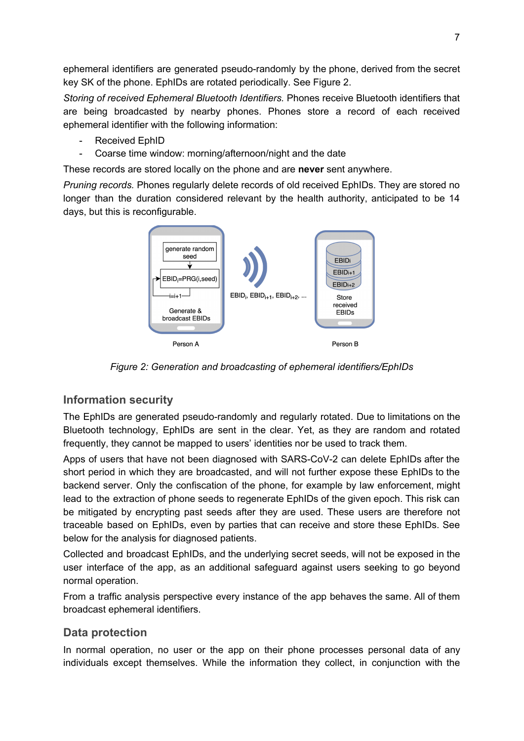ephemeral identifiers are generated pseudo-randomly by the phone, derived from the secret key SK of the phone. EphIDs are rotated periodically. See Figure 2.

*Storing of received Ephemeral Bluetooth Identifiers.* Phones receive Bluetooth identifiers that are being broadcasted by nearby phones. Phones store a record of each received ephemeral identifier with the following information:

- Received EphID
- Coarse time window: morning/afternoon/night and the date

These records are stored locally on the phone and are **never** sent anywhere.

*Pruning records.* Phones regularly delete records of old received EphIDs. They are stored no longer than the duration considered relevant by the health authority, anticipated to be 14 days, but this is reconfigurable.



*Figure 2: Generation and broadcasting of ephemeral identifiers/EphIDs*

## **Information security**

The EphIDs are generated pseudo-randomly and regularly rotated. Due to limitations on the Bluetooth technology, EphIDs are sent in the clear. Yet, as they are random and rotated frequently, they cannot be mapped to users' identities nor be used to track them.

Apps of users that have not been diagnosed with SARS-CoV-2 can delete EphIDs after the short period in which they are broadcasted, and will not further expose these EphIDs to the backend server. Only the confiscation of the phone, for example by law enforcement, might lead to the extraction of phone seeds to regenerate EphIDs of the given epoch. This risk can be mitigated by encrypting past seeds after they are used. These users are therefore not traceable based on EphIDs, even by parties that can receive and store these EphIDs. See below for the analysis for diagnosed patients.

Collected and broadcast EphIDs, and the underlying secret seeds, will not be exposed in the user interface of the app, as an additional safeguard against users seeking to go beyond normal operation.

From a traffic analysis perspective every instance of the app behaves the same. All of them broadcast ephemeral identifiers.

### **Data protection**

In normal operation, no user or the app on their phone processes personal data of any individuals except themselves. While the information they collect, in conjunction with the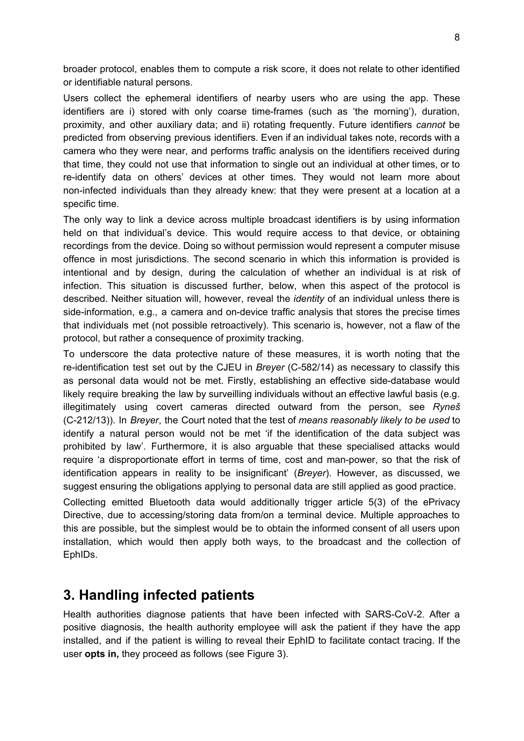broader protocol, enables them to compute a risk score, it does not relate to other identified or identifiable natural persons.

Users collect the ephemeral identifiers of nearby users who are using the app. These identifiers are i) stored with only coarse time-frames (such as 'the morning'), duration, proximity, and other auxiliary data; and ii) rotating frequently. Future identifiers *cannot* be predicted from observing previous identifiers. Even if an individual takes note, records with a camera who they were near, and performs traffic analysis on the identifiers received during that time, they could not use that information to single out an individual at other times, or to re-identify data on others' devices at other times. They would not learn more about non-infected individuals than they already knew: that they were present at a location at a specific time.

The only way to link a device across multiple broadcast identifiers is by using information held on that individual's device. This would require access to that device, or obtaining recordings from the device. Doing so without permission would represent a computer misuse offence in most jurisdictions. The second scenario in which this information is provided is intentional and by design, during the calculation of whether an individual is at risk of infection. This situation is discussed further, below, when this aspect of the protocol is described. Neither situation will, however, reveal the *identity* of an individual unless there is side-information, e.g., a camera and on-device traffic analysis that stores the precise times that individuals met (not possible retroactively). This scenario is, however, not a flaw of the protocol, but rather a consequence of proximity tracking.

To underscore the data protective nature of these measures, it is worth noting that the re-identification test set out by the CJEU in *Breyer* (C-582/14) as necessary to classify this as personal data would not be met. Firstly, establishing an effective side-database would likely require breaking the law by surveilling individuals without an effective lawful basis (e.g. illegitimately using covert cameras directed outward from the person, see *Ryneš* (C-212/13)). In *Breyer*, the Court noted that the test of *means reasonably likely to be used* to identify a natural person would not be met 'if the identification of the data subject was prohibited by law'. Furthermore, it is also arguable that these specialised attacks would require 'a disproportionate effort in terms of time, cost and man-power, so that the risk of identification appears in reality to be insignificant' (*Breyer*). However, as discussed, we suggest ensuring the obligations applying to personal data are still applied as good practice.

Collecting emitted Bluetooth data would additionally trigger article 5(3) of the ePrivacy Directive, due to accessing/storing data from/on a terminal device. Multiple approaches to this are possible, but the simplest would be to obtain the informed consent of all users upon installation, which would then apply both ways, to the broadcast and the collection of EphIDs.

## **3. Handling infected patients**

Health authorities diagnose patients that have been infected with SARS-CoV-2. After a positive diagnosis, the health authority employee will ask the patient if they have the app installed, and if the patient is willing to reveal their EphID to facilitate contact tracing. If the user **opts in,** they proceed as follows (see Figure 3).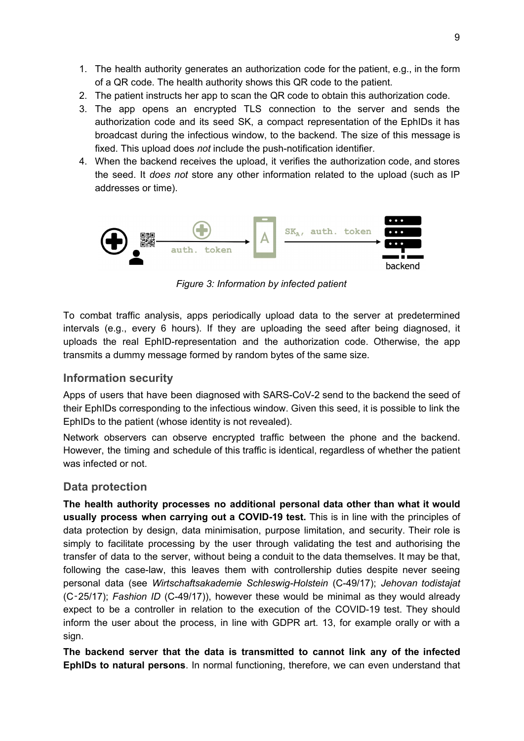- 1. The health authority generates an authorization code for the patient, e.g., in the form of a QR code. The health authority shows this QR code to the patient.
- 2. The patient instructs her app to scan the QR code to obtain this authorization code.
- 3. The app opens an encrypted TLS connection to the server and sends the authorization code and its seed SK, a compact representation of the EphIDs it has broadcast during the infectious window, to the backend. The size of this message is fixed. This upload does *not* include the push-notification identifier.
- 4. When the backend receives the upload, it verifies the authorization code, and stores the seed. It *does not* store any other information related to the upload (such as IP addresses or time).



*Figure 3: Information by infected patient*

To combat traffic analysis, apps periodically upload data to the server at predetermined intervals (e.g., every 6 hours). If they are uploading the seed after being diagnosed, it uploads the real EphID-representation and the authorization code. Otherwise, the app transmits a dummy message formed by random bytes of the same size.

#### **Information security**

Apps of users that have been diagnosed with SARS-CoV-2 send to the backend the seed of their EphIDs corresponding to the infectious window. Given this seed, it is possible to link the EphIDs to the patient (whose identity is not revealed).

Network observers can observe encrypted traffic between the phone and the backend. However, the timing and schedule of this traffic is identical, regardless of whether the patient was infected or not.

#### **Data protection**

**The health authority processes no additional personal data other than what it would usually process when carrying out a COVID-19 test.** This is in line with the principles of data protection by design, data minimisation, purpose limitation, and security. Their role is simply to facilitate processing by the user through validating the test and authorising the transfer of data to the server, without being a conduit to the data themselves. It may be that, following the case-law, this leaves them with controllership duties despite never seeing personal data (see *Wirtschaftsakademie Schleswig-Holstein* (C-49/17); *Jehovan todistajat* (C‑25/17); *Fashion ID* (C-49/17)), however these would be minimal as they would already expect to be a controller in relation to the execution of the COVID-19 test. They should inform the user about the process, in line with GDPR art. 13, for example orally or with a sign.

**The backend server that the data is transmitted to cannot link any of the infected EphIDs to natural persons**. In normal functioning, therefore, we can even understand that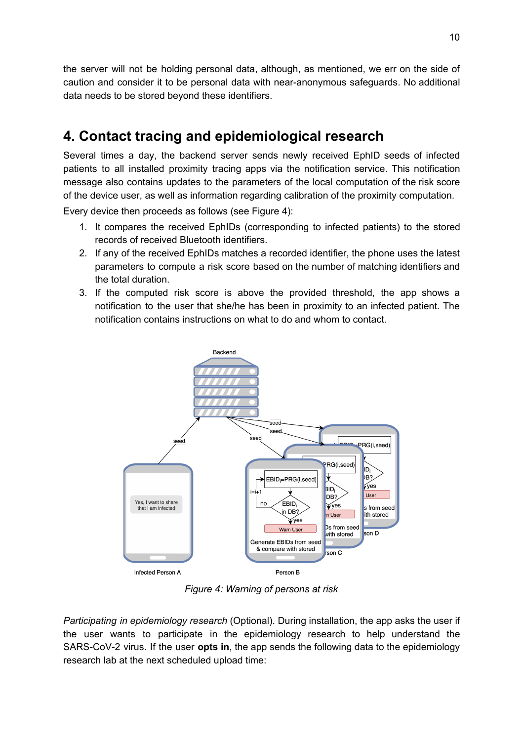the server will not be holding personal data, although, as mentioned, we err on the side of caution and consider it to be personal data with near-anonymous safeguards. No additional data needs to be stored beyond these identifiers.

# **4. Contact tracing and epidemiological research**

Several times a day, the backend server sends newly received EphID seeds of infected patients to all installed proximity tracing apps via the notification service. This notification message also contains updates to the parameters of the local computation of the risk score of the device user, as well as information regarding calibration of the proximity computation.

Every device then proceeds as follows (see Figure 4):

- 1. It compares the received EphIDs (corresponding to infected patients) to the stored records of received Bluetooth identifiers.
- 2. If any of the received EphIDs matches a recorded identifier, the phone uses the latest parameters to compute a risk score based on the number of matching identifiers and the total duration.
- 3. If the computed risk score is above the provided threshold, the app shows a notification to the user that she/he has been in proximity to an infected patient. The notification contains instructions on what to do and whom to contact.



*Figure 4: Warning of persons at risk*

*Participating in epidemiology research* (Optional). During installation, the app asks the user if the user wants to participate in the epidemiology research to help understand the SARS-CoV-2 virus. If the user **opts in**, the app sends the following data to the epidemiology research lab at the next scheduled upload time: